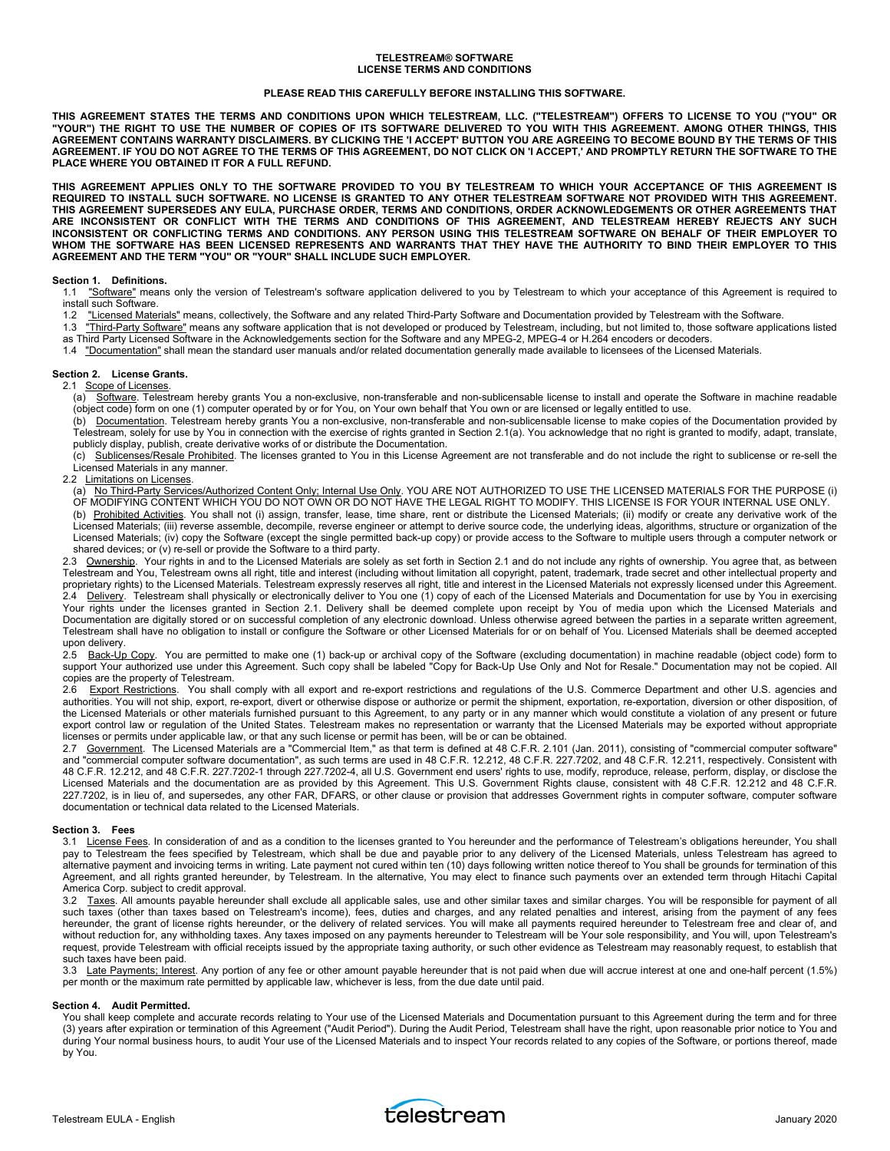#### **TELESTREAM® SOFTWARE LICENSE TERMS AND CONDITIONS**

#### **PLEASE READ THIS CAREFULLY BEFORE INSTALLING THIS SOFTWARE.**

**THIS AGREEMENT STATES THE TERMS AND CONDITIONS UPON WHICH TELESTREAM, LLC. ("TELESTREAM") OFFERS TO LICENSE TO YOU ("YOU" OR "YOUR") THE RIGHT TO USE THE NUMBER OF COPIES OF ITS SOFTWARE DELIVERED TO YOU WITH THIS AGREEMENT. AMONG OTHER THINGS, THIS AGREEMENT CONTAINS WARRANTY DISCLAIMERS. BY CLICKING THE 'I ACCEPT' BUTTON YOU ARE AGREEING TO BECOME BOUND BY THE TERMS OF THIS AGREEMENT. IF YOU DO NOT AGREE TO THE TERMS OF THIS AGREEMENT, DO NOT CLICK ON 'I ACCEPT,' AND PROMPTLY RETURN THE SOFTWARE TO THE PLACE WHERE YOU OBTAINED IT FOR A FULL REFUND.** 

**THIS AGREEMENT APPLIES ONLY TO THE SOFTWARE PROVIDED TO YOU BY TELESTREAM TO WHICH YOUR ACCEPTANCE OF THIS AGREEMENT IS REQUIRED TO INSTALL SUCH SOFTWARE. NO LICENSE IS GRANTED TO ANY OTHER TELESTREAM SOFTWARE NOT PROVIDED WITH THIS AGREEMENT. THIS AGREEMENT SUPERSEDES ANY EULA, PURCHASE ORDER, TERMS AND CONDITIONS, ORDER ACKNOWLEDGEMENTS OR OTHER AGREEMENTS THAT ARE INCONSISTENT OR CONFLICT WITH THE TERMS AND CONDITIONS OF THIS AGREEMENT, AND TELESTREAM HEREBY REJECTS ANY SUCH INCONSISTENT OR CONFLICTING TERMS AND CONDITIONS. ANY PERSON USING THIS TELESTREAM SOFTWARE ON BEHALF OF THEIR EMPLOYER TO WHOM THE SOFTWARE HAS BEEN LICENSED REPRESENTS AND WARRANTS THAT THEY HAVE THE AUTHORITY TO BIND THEIR EMPLOYER TO THIS AGREEMENT AND THE TERM "YOU" OR "YOUR" SHALL INCLUDE SUCH EMPLOYER.** 

## **Section 1. Definitions.**

1.1 "Software" means only the version of Telestream's software application delivered to you by Telestream to which your acceptance of this Agreement is required to install such Software.

- 1.2 "Licensed Materials" means, collectively, the Software and any related Third-Party Software and Documentation provided by Telestream with the Software.
- 1.3 "Third-Party Software" means any software application that is not developed or produced by Telestream, including, but not limited to, those software applications listed as Third Party Licensed Software in the Acknowledgements section for the Software and any MPEG-2, MPEG-4 or H.264 encoders or decoders.
- 1.4 "Documentation" shall mean the standard user manuals and/or related documentation generally made available to licensees of the Licensed Materials.

# **Section 2. License Grants.**

2.1 Scope of Licenses.

(a) Software. Telestream hereby grants You a non-exclusive, non-transferable and non-sublicensable license to install and operate the Software in machine readable (object code) form on one (1) computer operated by or for You, on Your own behalf that You own or are licensed or legally entitled to use.

(b) Documentation. Telestream hereby grants You a non-exclusive, non-transferable and non-sublicensable license to make copies of the Documentation provided by Telestream, solely for use by You in connection with the exercise of rights granted in Section 2.1(a). You acknowledge that no right is granted to modify, adapt, translate, publicly display, publish, create derivative works of or distribute the Documentation.

(c) Sublicenses/Resale Prohibited. The licenses granted to You in this License Agreement are not transferable and do not include the right to sublicense or re-sell the Licensed Materials in any manner.

#### 2.2 Limitations on Licenses.

(a) No Third-Party Services/Authorized Content Only; Internal Use Only. YOU ARE NOT AUTHORIZED TO USE THE LICENSED MATERIALS FOR THE PURPOSE (i) OF MODIFYING CONTENT WHICH YOU DO NOT OWN OR DO NOT HAVE THE LEGAL RIGHT TO MODIFY. THIS LICENSE IS FOR YOUR INTERNAL USE ONLY. (b) Prohibited Activities. You shall not (i) assign, transfer, lease, time share, rent or distribute the Licensed Materials; (ii) modify or create any derivative work of the Licensed Materials; (iii) reverse assemble, decompile, reverse engineer or attempt to derive source code, the underlying ideas, algorithms, structure or organization of the Licensed Materials; (iv) copy the Software (except the single permitted back-up copy) or provide access to the Software to multiple users through a computer network or shared devices; or (v) re-sell or provide the Software to a third party.

2.3 <u>Ownership</u>. Your rights in and to the Licensed Materials are solely as set forth in Section 2.1 and do not include any rights of ownership. You agree that, as between Telestream and You, Telestream owns all right, title and interest (including without limitation all copyright, patent, trademark, trade secret and other intellectual property and proprietary rights) to the Licensed Materials. Telestream expressly reserves all right, title and interest in the Licensed Materials not expressly licensed under this Agreement. 2.4 Delivery. Telestream shall physically or electronically deliver to You one (1) copy of each of the Licensed Materials and Documentation for use by You in exercising Your rights under the licenses granted in Section 2.1. Delivery shall be deemed complete upon receipt by You of media upon which the Licensed Materials and Documentation are digitally stored or on successful completion of any electronic download. Unless otherwise agreed between the parties in a separate written agreement, Telestream shall have no obligation to install or configure the Software or other Licensed Materials for or on behalf of You. Licensed Materials shall be deemed accepted upon delivery.

2.5 Back-Up Copy. You are permitted to make one (1) back-up or archival copy of the Software (excluding documentation) in machine readable (object code) form to support Your authorized use under this Agreement. Such copy shall be labeled "Copy for Back-Up Use Only and Not for Resale." Documentation may not be copied. All copies are the property of Telestream.

2.6 Export Restrictions. You shall comply with all export and re-export restrictions and regulations of the U.S. Commerce Department and other U.S. agencies and authorities. You will not ship, export, re-export, divert or otherwise dispose or authorize or permit the shipment, exportation, re-exportation, diversion or other disposition, of the Licensed Materials or other materials furnished pursuant to this Agreement, to any party or in any manner which would constitute a violation of any present or future export control law or regulation of the United States. Telestream makes no representation or warranty that the Licensed Materials may be exported without appropriate licenses or permits under applicable law, or that any such license or permit has been, will be or can be obtained.

2.7 Government. The Licensed Materials are a "Commercial Item," as that term is defined at 48 C.F.R. 2.101 (Jan. 2011), consisting of "commercial computer software" and "commercial computer software documentation", as such terms are used in 48 C.F.R. 12.212, 48 C.F.R. 227.7202, and 48 C.F.R. 12.211, respectively. Consistent with 48 C.F.R. 12.212, and 48 C.F.R. 227.7202-1 through 227.7202-4, all U.S. Government end users' rights to use, modify, reproduce, release, perform, display, or disclose the Licensed Materials and the documentation are as provided by this Agreement. This U.S. Government Rights clause, consistent with 48 C.F.R. 12.212 and 48 C.F.R. 227.7202, is in lieu of, and supersedes, any other FAR, DFARS, or other clause or provision that addresses Government rights in computer software, computer software documentation or technical data related to the Licensed Materials.

#### **Section 3. Fees**

3.1 License Fees. In consideration of and as a condition to the licenses granted to You hereunder and the performance of Telestream's obligations hereunder, You shall pay to Telestream the fees specified by Telestream, which shall be due and payable prior to any delivery of the Licensed Materials, unless Telestream has agreed to alternative payment and invoicing terms in writing. Late payment not cured within ten (10) days following written notice thereof to You shall be grounds for termination of this Agreement, and all rights granted hereunder, by Telestream. In the alternative, You may elect to finance such payments over an extended term through Hitachi Capital America Corp. subject to credit approval.

3.2 Taxes. All amounts payable hereunder shall exclude all applicable sales, use and other similar taxes and similar charges. You will be responsible for payment of all such taxes (other than taxes based on Telestream's income), fees, duties and charges, and any related penalties and interest, arising from the payment of any fees hereunder, the grant of license rights hereunder, or the delivery of related services. You will make all payments required hereunder to Telestream free and clear of, and without reduction for, any withholding taxes. Any taxes imposed on any payments hereunder to Telestream will be Your sole responsibility, and You will, upon Telestream's request, provide Telestream with official receipts issued by the appropriate taxing authority, or such other evidence as Telestream may reasonably request, to establish that such taxes have been paid.

3.3 Late Payments; Interest. Any portion of any fee or other amount payable hereunder that is not paid when due will accrue interest at one and one-half percent (1.5%) per month or the maximum rate permitted by applicable law, whichever is less, from the due date until paid.

#### **Section 4. Audit Permitted.**

You shall keep complete and accurate records relating to Your use of the Licensed Materials and Documentation pursuant to this Agreement during the term and for three (3) years after expiration or termination of this Agreement ("Audit Period"). During the Audit Period, Telestream shall have the right, upon reasonable prior notice to You and during Your normal business hours, to audit Your use of the Licensed Materials and to inspect Your records related to any copies of the Software, or portions thereof, made by You.